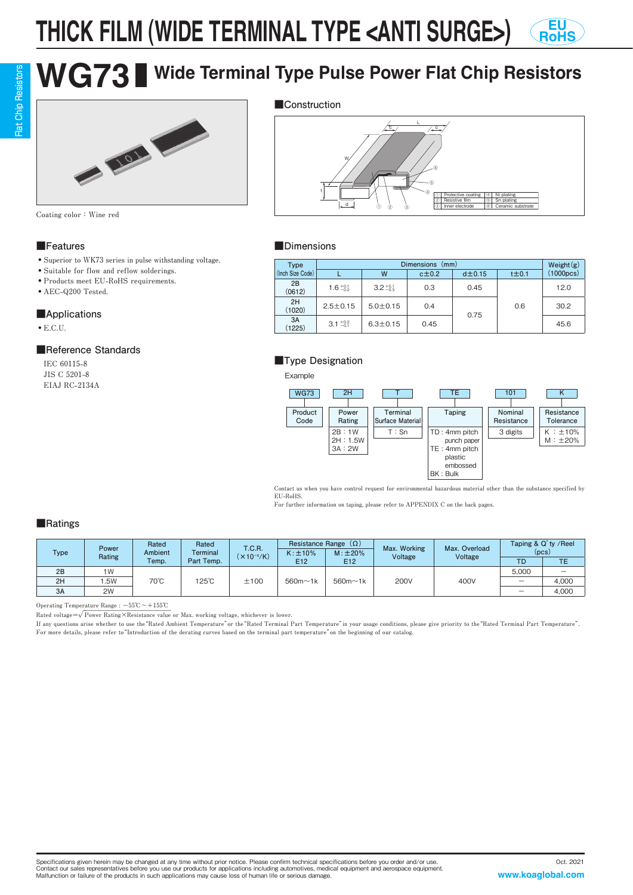#### **THICK FILM (WIDE TERMINAL TYPE <ANTI SURGE>) EU RoHS**

# **WG73 Wide Terminal Type Pulse Power Flat Chip Resistors**



**Coating color:Wine red**

#### **■Features**

- ・ **Superior to WK73 series in pulse withstanding voltage.**
- ・ **Suitable for flow and reflow solderings.**
- ・ **Products meet EU-RoHS requirements.**
- ・ **AEC-Q200 Tested.**

#### **■Applications**

・ **E.C.U.**

### **■Reference Standards**

 **IEC 60115-8 JIS C 5201-8 EIAJ RC-2134A**





#### **■Dimensions**

| <b>Type</b>      |                     | Weight $(g)$        |            |                |            |           |  |
|------------------|---------------------|---------------------|------------|----------------|------------|-----------|--|
| (Inch Size Code) |                     | W                   | $c\pm 0.2$ | $d$ $\pm$ 0.15 | $t\pm 0.1$ | (1000pcs) |  |
| 2B<br>(0612)     | $1.6_{-0.2}^{+0.1}$ | $3.2_{-0.3}^{+0.1}$ | 0.3        | 0.45           | 0.6        | 12.0      |  |
| 2H<br>(1020)     | $2.5 \pm 0.15$      | $5.0 \pm 0.15$      | 0.4        | 0.75           |            | 30.2      |  |
| 3A<br>(1225)     | $3.1 \pm 0.2$       | $6.3 \pm 0.15$      | 0.45       |                |            | 45.6      |  |

### **■Type Designation**

Example



Contact us when you have control request for environmental hazardous material other than the substance specified by **EU-RoHS.**

**For further information on taping, please refer to APPENDIX C on the back pages.**

#### **■Ratings**

| <b>Type</b> | Power<br>Rating | Rated<br>Ambient | Rated<br><b>Terminal</b> | <b>T.C.R.</b><br>$\times 10^{-6}$ /K) | Resistance Range $(\Omega)$<br>$M: \pm 20\%$<br>$K: \pm 10\%$ |                 | Max. Working<br>Voltage | Max. Overload<br>Voltage | Taping & Q' ty / Reel<br>(pcs) |       |
|-------------|-----------------|------------------|--------------------------|---------------------------------------|---------------------------------------------------------------|-----------------|-------------------------|--------------------------|--------------------------------|-------|
|             |                 | Temp.            | Part Temp.               |                                       | E <sub>12</sub>                                               | E <sub>12</sub> |                         |                          | TD.                            | ТE    |
| 2B          | 1W              | 70°C             | 125°C                    | ±100                                  | $560m \sim 1k$                                                | $560m \sim 1k$  | <b>200V</b>             | 400V                     | 5.000                          | -     |
| 2H          | .5W             |                  |                          |                                       |                                                               |                 |                         |                          | -                              | 4,000 |
| 3A          | 2W              |                  |                          |                                       |                                                               |                 |                         |                          |                                | 4,000 |

**Operating Temperature Range : -55℃~+155℃**

Rated voltage= $\sqrt{\text{Power Rating} \times \text{Resistance value}}$  or Max. working voltage, whichever is lower.

**If any questions arise whether to use the"Rated Ambient Temperature"or the"Rated Terminal Part Temperature"in your usage conditions, please give priority to the"Rated Terminal Part Temperature". For more details, please refer to"Introduction of the derating curves based on the terminal part temperature"on the beginning of our catalog.**